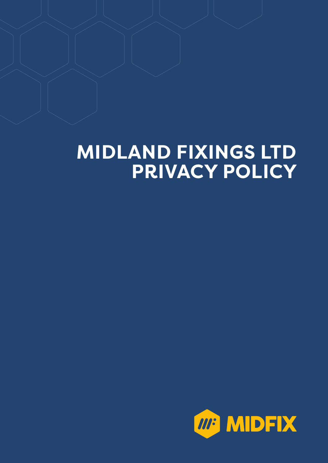# **MIDLAND FIXINGS LTD PRIVACY POLICY**

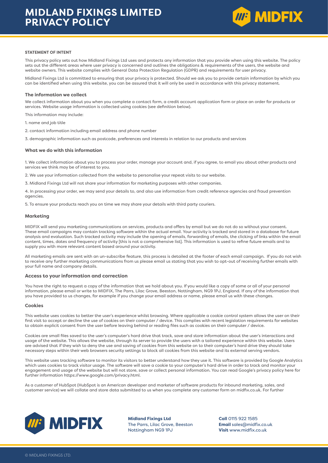

#### **STATEMENT OF INTENT**

This privacy policy sets out how Midland Fixings Ltd uses and protects any information that you provide when using this website. The policy sets out the different areas where user privacy is concerned and outlines the obligations & requirements of the users, the website and website owners. This website complies with General Data Protection Regulation (GDPR) and requirements for user privacy.

Midland Fixings Ltd is committed to ensuring that your privacy is protected. Should we ask you to provide certain information by which you can be identified when using this website, you can be assured that it will only be used in accordance with this privacy statement.

#### **The information we collect**

We collect information about you when you complete a contact form, a credit account application form or place an order for products or services. Website usage information is collected using cookies (see definition below).

This information may include:

1. name and job title

2. contact information including email address and phone number

3. demographic information such as postcode, preferences and interests in relation to our products and services

#### **What we do with this information**

1. We collect information about you to process your order, manage your account and, if you agree, to email you about other products and services we think may be of interest to you.

2. We use your information collected from the website to personalise your repeat visits to our website.

3. Midland Fixings Ltd will not share your information for marketing purposes with other companies.

4. In processing your order, we may send your details to, and also use information from credit reference agencies and fraud prevention agencies.

5. To ensure your products reach you on time we may share your details with third party couriers.

#### **Marketing**

MIDFIX will send you marketing communications on services, products and offers by email but we do not do so without your consent. These email campaigns may contain tracking software within the actual email. Your activity is tracked and stored in a database for future analysis and evaluation. Such tracked activity may include the opening of emails, forwarding of emails, the clicking of links within the email content, times, dates and frequency of activity [this is not a comprehensive list]. This information is used to refine future emails and to supply you with more relevant content based around your activity.

All marketing emails are sent with an un-subscribe feature, this process is detailed at the footer of each email campaign. If you do not wish to receive any further marketing communications from us please email us stating that you wish to opt-out of receiving further emails with your full name and company details.

#### **Access to your information and correction**

You have the right to request a copy of the information that we hold about you. If you would like a copy of some or all of your personal information, please email or write to MIDFIX, The Parrs, Lilac Grove, Beeston, Nottingham, NG9 1PJ, England. If any of the information that you have provided to us changes, for example if you change your email address or name, please email us with these changes.

#### **Cookies**

This website uses cookies to better the user's experience whilst browsing. Where applicable a cookie control system allows the user on their first visit to accept or decline the use of cookies on their computer / device. This complies with recent legislation requirements for websites to obtain explicit consent from the user before leaving behind or reading files such as cookies on their computer / device.

Cookies are small files saved to the user's computer's hard drive that track, save and store information about the user's interactions and usage of the website. This allows the website, through its server to provide the users with a tailored experience within this website. Users are advised that if they wish to deny the use and saving of cookies from this website on to their computer's hard drive they should take necessary steps within their web browsers security settings to block all cookies from this website and its external serving vendors.

This website uses tracking software to monitor its visitors to better understand how they use it. This software is provided by Google Analytics which uses cookies to track visitor usage. The software will save a cookie to your computer's hard drive in order to track and monitor your engagement and usage of the website but will not store, save or collect personal information. You can read Google's privacy policy here for further information https://www.google.com/privacy.html.

As a customer of HubSpot (HubSpot is an American developer and marketer of software products for inbound marketing, sales, and customer service) we will collate and store data submitted to us when you complete any customer form on midfix.co.uk. For further



**Midland Fixings Ltd** The Parrs, Lilac Grove, Beeston Nottingham NG9 1PJ

**Call** 0115 922 1585 **Email** sales@midfix.co.uk **Visit** www.midfix.co.uk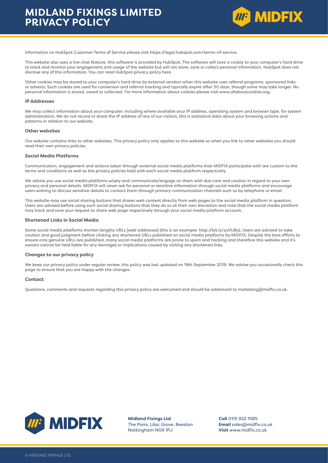

information on HubSpot Customer Terms of Service please visit https://legal.hubspot.com/terms-of-service.

This website also uses a live chat feature, this software is provided by HubSpot. The software will save a cookie to your computer's hard drive to track and monitor your engagement and usage of the website but will not store, save or collect personal information. HubSpot does not disclose any of this information. You can read HubSpot privacy policy here.

Other cookies may be stored to your computer's hard drive by external vendors when this website uses referral programs, sponsored links or adverts. Such cookies are used for conversion and referral tracking and typically expire after 30 days, though some may take longer. No personal information is stored, saved or collected. For more information about cookies please visit www.allaboutcookies.org**.**

#### **IP Addresses**

We may collect information about your computer, including where available your IP address, operating system and browser type, for system administration. We do not record or share the IP address of any of our visitors, this is statistical data about your browsing actions and patterns in relation to our website.

#### **Other websites**

Our website contains links to other websites. This privacy policy only applies to this website so when you link to other websites you should read their own privacy policies.

#### **Social Media Platforms**

Communication, engagement and actions taken through external social media platforms that MIDFIX participate with are custom to the terms and conditions as well as the privacy policies held with each social media platform respectively.

We advise you use social media platforms wisely and communicate/engage on them with due care and caution in regard to your own privacy and personal details. MIDFIX will never ask for personal or sensitive information through social media platforms and encourage users wishing to discuss sensitive details to contact them through primary communication channels such as by telephone or email.

This website may use social sharing buttons that shares web content directly from web pages to the social media platform in question. Users are advised before using such social sharing buttons that they do so at their own discretion and note that the social media platform may track and save your request to share web page respectively through your social media platform account.

#### **Shortened Links in Social Media**

Some social media platforms shorten lengthy URLs [web addresses] (this is an example: http://bit.ly/zyVUBo). Users are advised to take caution and good judgment before clicking any shortened URLs published on social media platforms by MIDFIX. Despite the best efforts to ensure only genuine URLs are published, many social media platforms are prone to spam and hacking and therefore this website and it's owners cannot be held liable for any damages or implications caused by visiting any shortened links.

#### **Changes to our privacy policy**

We keep our privacy policy under regular review, this policy was last updated on 19th September 2019. We advise you occasionally check this page to ensure that you are happy with the changes.

#### **Contact**

Questions, comments and requests regarding this privacy policy are welcomed and should be addressed to marketing@midfix.co.uk.



**Midland Fixings Ltd** The Parrs, Lilac Grove, Beeston Nottingham NG9 1PJ

**Call** 0115 922 1585 **Email** sales@midfix.co.uk **Visit** www.midfix.co.uk